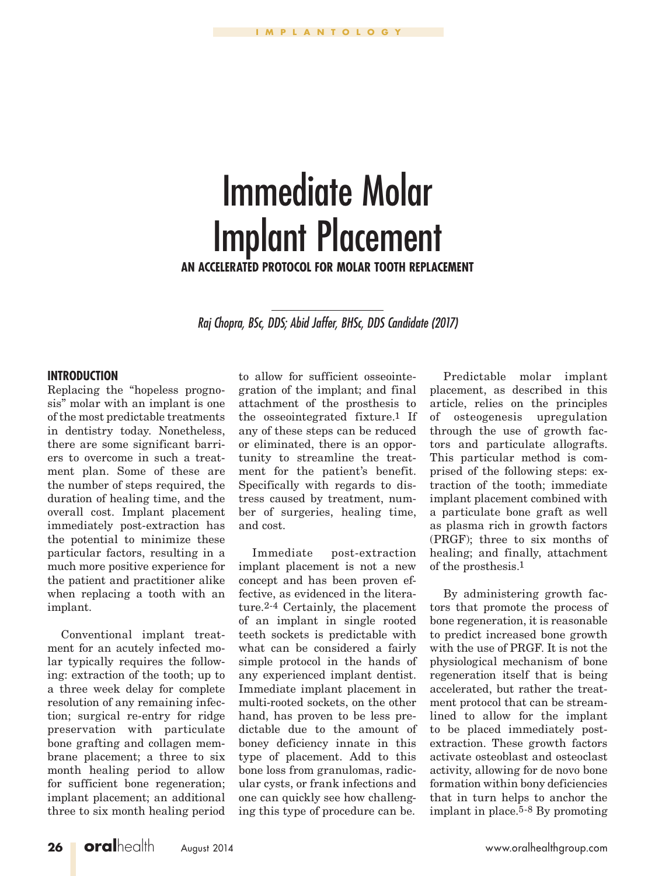# Immediate Molar Implant Placement

**An Accelerated Protocol for Molar Tooth Replacement**

*Raj Chopra, BSc, DDS; Abid Jaffer, BHSc, DDS Candidate (2017)*

#### **INTRODUCTION**

Replacing the "hopeless prognosis" molar with an implant is one of the most predictable treatments in dentistry today. Nonetheless, there are some significant barriers to overcome in such a treatment plan. Some of these are the number of steps required, the duration of healing time, and the overall cost. Implant placement immediately post-extraction has the potential to minimize these particular factors, resulting in a much more positive experience for the patient and practitioner alike when replacing a tooth with an implant.

Conventional implant treatment for an acutely infected molar typically requires the following: extraction of the tooth; up to a three week delay for complete resolution of any remaining infection; surgical re-entry for ridge preservation with particulate bone grafting and collagen membrane placement; a three to six month healing period to allow for sufficient bone regeneration; implant placement; an additional three to six month healing period

to allow for sufficient osseointegration of the implant; and final attachment of the prosthesis to the osseointegrated fixture.1 If any of these steps can be reduced or eliminated, there is an opportunity to streamline the treatment for the patient's benefit. Specifically with regards to distress caused by treatment, number of surgeries, healing time, and cost.

Immediate post-extraction implant placement is not a new concept and has been proven effective, as evidenced in the literature.2-4 Certainly, the placement of an implant in single rooted teeth sockets is predictable with what can be considered a fairly simple protocol in the hands of any experienced implant dentist. Immediate implant placement in multi-rooted sockets, on the other hand, has proven to be less predictable due to the amount of boney deficiency innate in this type of placement. Add to this bone loss from granulomas, radicular cysts, or frank infections and one can quickly see how challenging this type of procedure can be.

Predictable molar implant placement, as described in this article, relies on the principles of osteogenesis upregulation through the use of growth factors and particulate allografts. This particular method is comprised of the following steps: extraction of the tooth; immediate implant placement combined with a particulate bone graft as well as plasma rich in growth factors (PRGF); three to six months of healing; and finally, attachment of the prosthesis.1

By administering growth factors that promote the process of bone regeneration, it is reasonable to predict increased bone growth with the use of PRGF. It is not the physiological mechanism of bone regeneration itself that is being accelerated, but rather the treatment protocol that can be streamlined to allow for the implant to be placed immediately postextraction. These growth factors activate osteoblast and osteoclast activity, allowing for de novo bone formation within bony deficiencies that in turn helps to anchor the implant in place.5-8 By promoting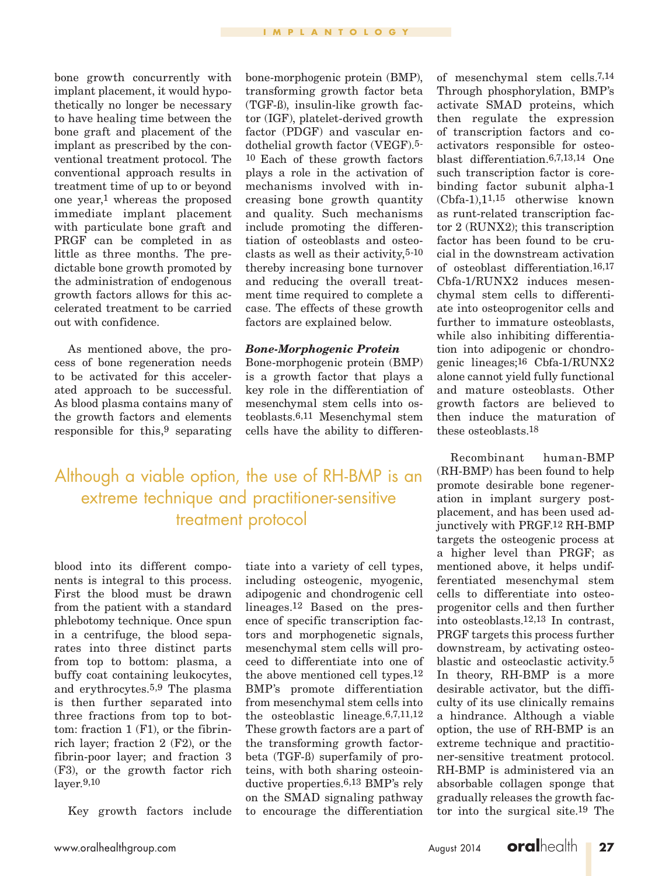bone growth concurrently with implant placement, it would hypothetically no longer be necessary to have healing time between the bone graft and placement of the implant as prescribed by the conventional treatment protocol. The conventional approach results in treatment time of up to or beyond one year,1 whereas the proposed immediate implant placement with particulate bone graft and PRGF can be completed in as little as three months. The predictable bone growth promoted by the administration of endogenous growth factors allows for this accelerated treatment to be carried out with confidence.

As mentioned above, the process of bone regeneration needs to be activated for this accelerated approach to be successful. As blood plasma contains many of the growth factors and elements responsible for this,9 separating

bone-morphogenic protein (BMP), transforming growth factor beta (TGF-ß), insulin-like growth factor (IGF), platelet-derived growth factor (PDGF) and vascular endothelial growth factor (VEGF).5- 10 Each of these growth factors plays a role in the activation of mechanisms involved with increasing bone growth quantity and quality. Such mechanisms include promoting the differentiation of osteoblasts and osteoclasts as well as their activity,5-10 thereby increasing bone turnover and reducing the overall treatment time required to complete a case. The effects of these growth factors are explained below.

#### *Bone-Morphogenic Protein*

Bone-morphogenic protein (BMP) is a growth factor that plays a key role in the differentiation of mesenchymal stem cells into osteoblasts.6,11 Mesenchymal stem cells have the ability to differen-

Although a viable option, the use of RH-BMP is an extreme technique and practitioner-sensitive treatment protocol

blood into its different components is integral to this process. First the blood must be drawn from the patient with a standard phlebotomy technique. Once spun in a centrifuge, the blood separates into three distinct parts from top to bottom: plasma, a buffy coat containing leukocytes, and erythrocytes.5,9 The plasma is then further separated into three fractions from top to bottom: fraction 1 (F1), or the fibrinrich layer; fraction 2 (F2), or the fibrin-poor layer; and fraction 3 (F3), or the growth factor rich layer.9,10

Key growth factors include

tiate into a variety of cell types, including osteogenic, myogenic, adipogenic and chondrogenic cell lineages.12 Based on the presence of specific transcription factors and morphogenetic signals, mesenchymal stem cells will proceed to differentiate into one of the above mentioned cell types.12 BMP's promote differentiation from mesenchymal stem cells into the osteoblastic lineage.6,7,11,12 These growth factors are a part of the transforming growth factorbeta (TGF-ß) superfamily of proteins, with both sharing osteoinductive properties.6,13 BMP's rely on the SMAD signaling pathway to encourage the differentiation

of mesenchymal stem cells.7,14 Through phosphorylation, BMP's activate SMAD proteins, which then regulate the expression of transcription factors and coactivators responsible for osteoblast differentiation.6,7,13,14 One such transcription factor is corebinding factor subunit alpha-1 (Cbfa-1),11,15 otherwise known as runt-related transcription factor 2 (RUNX2); this transcription factor has been found to be crucial in the downstream activation of osteoblast differentiation.16,17 Cbfa-1/RUNX2 induces mesenchymal stem cells to differentiate into osteoprogenitor cells and further to immature osteoblasts, while also inhibiting differentiation into adipogenic or chondrogenic lineages;16 Cbfa-1/RUNX2 alone cannot yield fully functional and mature osteoblasts. Other growth factors are believed to then induce the maturation of these osteoblasts.18

Recombinant human-BMP (RH-BMP) has been found to help promote desirable bone regeneration in implant surgery postplacement, and has been used adjunctively with PRGF.12 RH-BMP targets the osteogenic process at a higher level than PRGF; as mentioned above, it helps undifferentiated mesenchymal stem cells to differentiate into osteoprogenitor cells and then further into osteoblasts.12,13 In contrast, PRGF targets this process further downstream, by activating osteoblastic and osteoclastic activity.5 In theory, RH-BMP is a more desirable activator, but the difficulty of its use clinically remains a hindrance. Although a viable option, the use of RH-BMP is an extreme technique and practitioner-sensitive treatment protocol. RH-BMP is administered via an absorbable collagen sponge that gradually releases the growth factor into the surgical site.19 The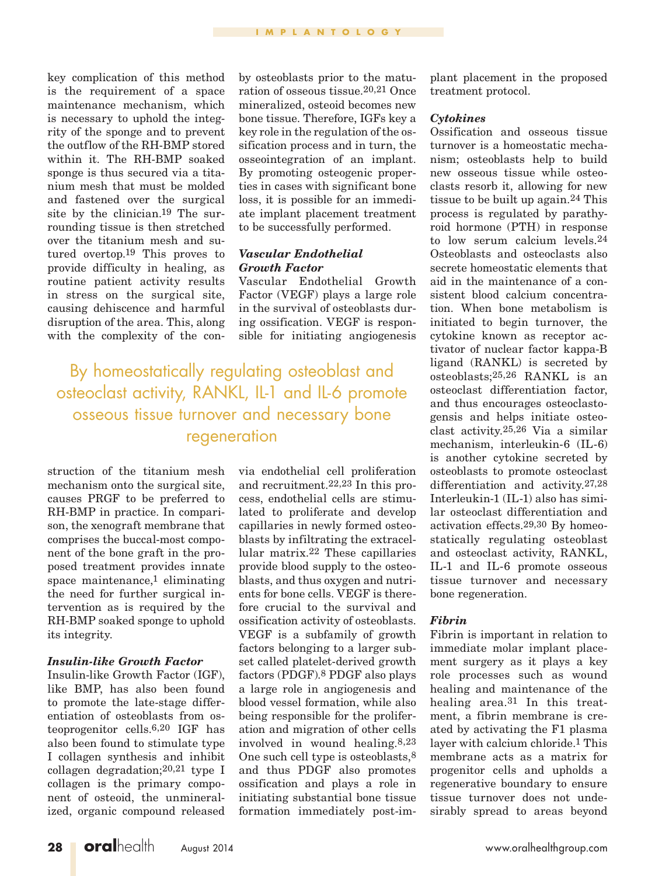key complication of this method is the requirement of a space maintenance mechanism, which is necessary to uphold the integrity of the sponge and to prevent the outflow of the RH-BMP stored within it. The RH-BMP soaked sponge is thus secured via a titanium mesh that must be molded and fastened over the surgical site by the clinician.19 The surrounding tissue is then stretched over the titanium mesh and sutured overtop.19 This proves to provide difficulty in healing, as routine patient activity results in stress on the surgical site, causing dehiscence and harmful disruption of the area. This, along with the complexity of the conby osteoblasts prior to the maturation of osseous tissue.20,21 Once mineralized, osteoid becomes new bone tissue. Therefore, IGFs key a key role in the regulation of the ossification process and in turn, the osseointegration of an implant. By promoting osteogenic properties in cases with significant bone loss, it is possible for an immediate implant placement treatment to be successfully performed.

#### *Vascular Endothelial Growth Factor*

Vascular Endothelial Growth Factor (VEGF) plays a large role in the survival of osteoblasts during ossification. VEGF is responsible for initiating angiogenesis

By homeostatically regulating osteoblast and osteoclast activity, RANKL, IL-1 and IL-6 promote osseous tissue turnover and necessary bone regeneration

struction of the titanium mesh mechanism onto the surgical site, causes PRGF to be preferred to RH-BMP in practice. In comparison, the xenograft membrane that comprises the buccal-most component of the bone graft in the proposed treatment provides innate space maintenance,<sup>1</sup> eliminating the need for further surgical intervention as is required by the RH-BMP soaked sponge to uphold its integrity.

#### *Insulin-like Growth Factor*

Insulin-like Growth Factor (IGF), like BMP, has also been found to promote the late-stage differentiation of osteoblasts from osteoprogenitor cells.6,20 IGF has also been found to stimulate type I collagen synthesis and inhibit collagen degradation;20,21 type I collagen is the primary component of osteoid, the unmineralized, organic compound released via endothelial cell proliferation and recruitment.22,23 In this process, endothelial cells are stimulated to proliferate and develop capillaries in newly formed osteoblasts by infiltrating the extracellular matrix.22 These capillaries provide blood supply to the osteoblasts, and thus oxygen and nutrients for bone cells. VEGF is therefore crucial to the survival and ossification activity of osteoblasts. VEGF is a subfamily of growth factors belonging to a larger subset called platelet-derived growth factors (PDGF).8 PDGF also plays a large role in angiogenesis and blood vessel formation, while also being responsible for the proliferation and migration of other cells involved in wound healing.8,23 One such cell type is osteoblasts,8 and thus PDGF also promotes ossification and plays a role in initiating substantial bone tissue formation immediately post-implant placement in the proposed treatment protocol.

#### *Cytokines*

Ossification and osseous tissue turnover is a homeostatic mechanism; osteoblasts help to build new osseous tissue while osteoclasts resorb it, allowing for new tissue to be built up again.24 This process is regulated by parathyroid hormone (PTH) in response to low serum calcium levels.24 Osteoblasts and osteoclasts also secrete homeostatic elements that aid in the maintenance of a consistent blood calcium concentration. When bone metabolism is initiated to begin turnover, the cytokine known as receptor activator of nuclear factor kappa-B ligand (RANKL) is secreted by osteoblasts;25,26 RANKL is an osteoclast differentiation factor, and thus encourages osteoclastogensis and helps initiate osteoclast activity.25,26 Via a similar mechanism, interleukin-6 (IL-6) is another cytokine secreted by osteoblasts to promote osteoclast differentiation and activity.27,28 Interleukin-1 (IL-1) also has similar osteoclast differentiation and activation effects.29,30 By homeostatically regulating osteoblast and osteoclast activity, RANKL, IL-1 and IL-6 promote osseous tissue turnover and necessary bone regeneration.

#### *Fibrin*

Fibrin is important in relation to immediate molar implant placement surgery as it plays a key role processes such as wound healing and maintenance of the healing area.<sup>31</sup> In this treatment, a fibrin membrane is created by activating the F1 plasma layer with calcium chloride.1 This membrane acts as a matrix for progenitor cells and upholds a regenerative boundary to ensure tissue turnover does not undesirably spread to areas beyond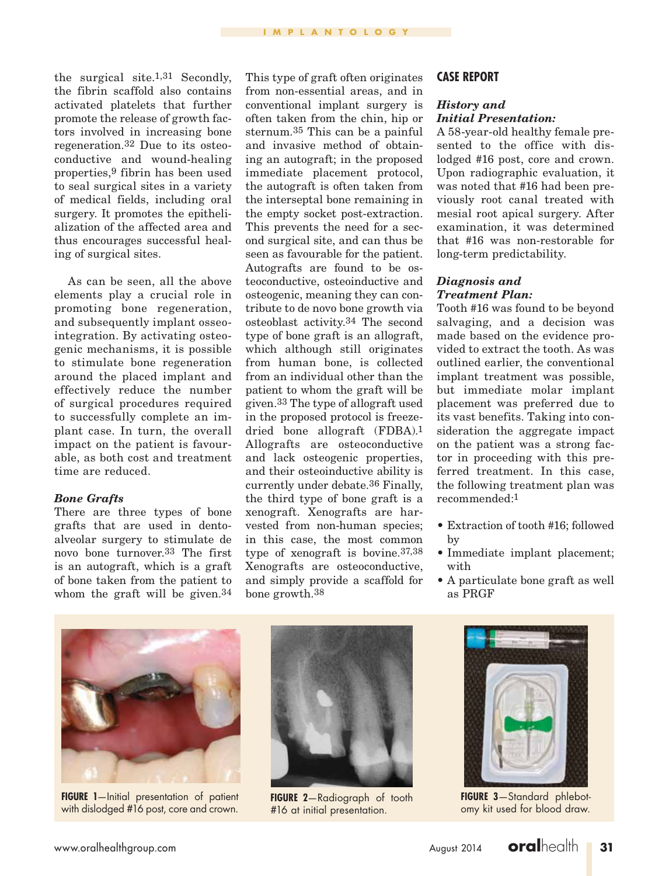the surgical site.1,31 Secondly, the fibrin scaffold also contains activated platelets that further promote the release of growth factors involved in increasing bone regeneration.32 Due to its osteoconductive and wound-healing properties,9 fibrin has been used to seal surgical sites in a variety of medical fields, including oral surgery. It promotes the epithelialization of the affected area and thus encourages successful healing of surgical sites.

As can be seen, all the above elements play a crucial role in promoting bone regeneration, and subsequently implant osseointegration. By activating osteogenic mechanisms, it is possible to stimulate bone regeneration around the placed implant and effectively reduce the number of surgical procedures required to successfully complete an implant case. In turn, the overall impact on the patient is favourable, as both cost and treatment time are reduced.

#### *Bone Grafts*

There are three types of bone grafts that are used in dentoalveolar surgery to stimulate de novo bone turnover.33 The first is an autograft, which is a graft of bone taken from the patient to whom the graft will be given.34

This type of graft often originates from non-essential areas, and in conventional implant surgery is often taken from the chin, hip or sternum.35 This can be a painful and invasive method of obtaining an autograft; in the proposed immediate placement protocol, the autograft is often taken from the interseptal bone remaining in the empty socket post-extraction. This prevents the need for a second surgical site, and can thus be seen as favourable for the patient. Autografts are found to be osteoconductive, osteoinductive and osteogenic, meaning they can contribute to de novo bone growth via osteoblast activity.34 The second type of bone graft is an allograft, which although still originates from human bone, is collected from an individual other than the patient to whom the graft will be given.33 The type of allograft used in the proposed protocol is freezedried bone allograft (FDBA).1 Allografts are osteoconductive and lack osteogenic properties, and their osteoinductive ability is currently under debate.36 Finally, the third type of bone graft is a xenograft. Xenografts are harvested from non-human species; in this case, the most common type of xenograft is bovine.37,38 Xenografts are osteoconductive, and simply provide a scaffold for bone growth.38

## **CASE REPORT**

#### *History and Initial Presentation:*

A 58-year-old healthy female presented to the office with dislodged #16 post, core and crown. Upon radiographic evaluation, it was noted that #16 had been previously root canal treated with mesial root apical surgery. After examination, it was determined that #16 was non-restorable for long-term predictability.

#### *Diagnosis and Treatment Plan:*

Tooth #16 was found to be beyond salvaging, and a decision was made based on the evidence provided to extract the tooth. As was outlined earlier, the conventional implant treatment was possible, but immediate molar implant placement was preferred due to its vast benefits. Taking into consideration the aggregate impact on the patient was a strong factor in proceeding with this preferred treatment. In this case, the following treatment plan was recommended:1

- Extraction of tooth #16; followed by
- Immediate implant placement; with
- A particulate bone graft as well as PRGF



**FIGURE 1**—Initial presentation of patient with dislodged #16 post, core and crown.



**Figure 2**—Radiograph of tooth #16 at initial presentation.



**Figure 3**—Standard phlebotomy kit used for blood draw.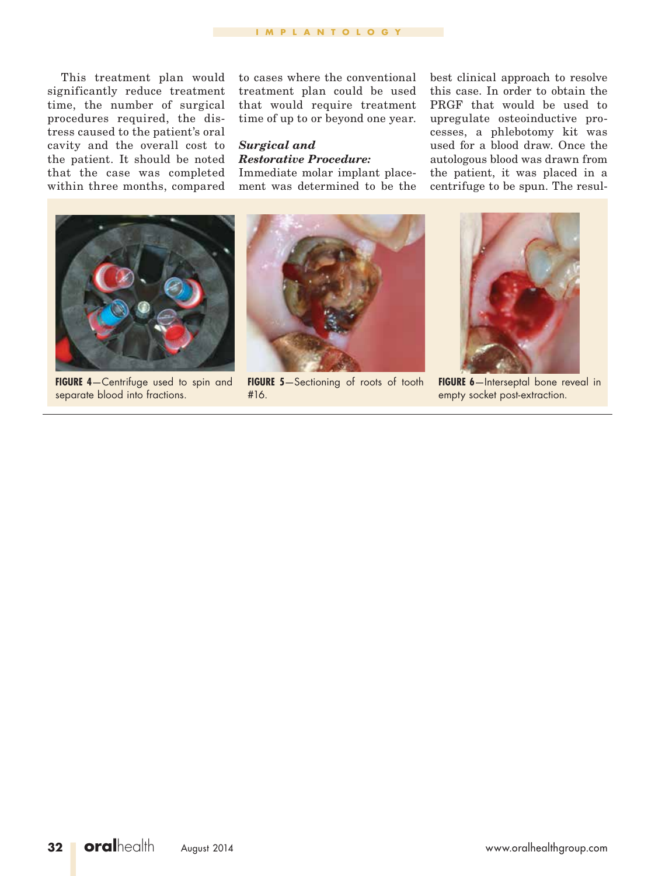This treatment plan would significantly reduce treatment time, the number of surgical procedures required, the distress caused to the patient's oral cavity and the overall cost to the patient. It should be noted that the case was completed within three months, compared

to cases where the conventional treatment plan could be used that would require treatment time of up to or beyond one year.

# *Surgical and Restorative Procedure:*

Immediate molar implant placement was determined to be the best clinical approach to resolve this case. In order to obtain the PRGF that would be used to upregulate osteoinductive processes, a phlebotomy kit was used for a blood draw. Once the autologous blood was drawn from the patient, it was placed in a centrifuge to be spun. The resul-



**Figure 4**—Centrifuge used to spin and separate blood into fractions.



**Figure 5**—Sectioning of roots of tooth #16.



**FIGURE 6**—Interseptal bone reveal in empty socket post-extraction.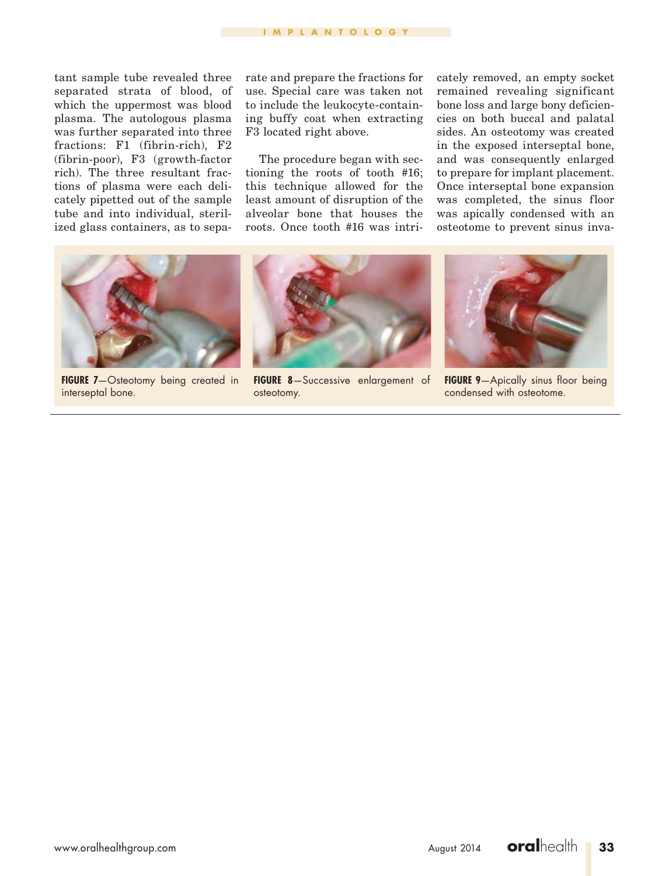tant sample tube revealed three separated strata of blood, of which the uppermost was blood plasma. The autologous plasma was further separated into three fractions: F1 (fibrin-rich), F2 (fibrin-poor), F3 (growth-factor rich). The three resultant fractions of plasma were each delicately pipetted out of the sample tube and into individual, sterilized glass containers, as to separate and prepare the fractions for use. Special care was taken not to include the leukocyte-containing buffy coat when extracting F3 located right above.

The procedure began with sectioning the roots of tooth #16; this technique allowed for the least amount of disruption of the alveolar bone that houses the roots. Once tooth #16 was intricately removed, an empty socket remained revealing significant bone loss and large bony deficiencies on both buccal and palatal sides. An osteotomy was created in the exposed interseptal bone, and was consequently enlarged to prepare for implant placement. Once interseptal bone expansion was completed, the sinus floor was apically condensed with an osteotome to prevent sinus inva-



**FIGURE 7-**Osteotomy being created in interseptal bone.



**Figure 8**—Successive enlargement of osteotomy.



**FIGURE 9**-Apically sinus floor being condensed with osteotome.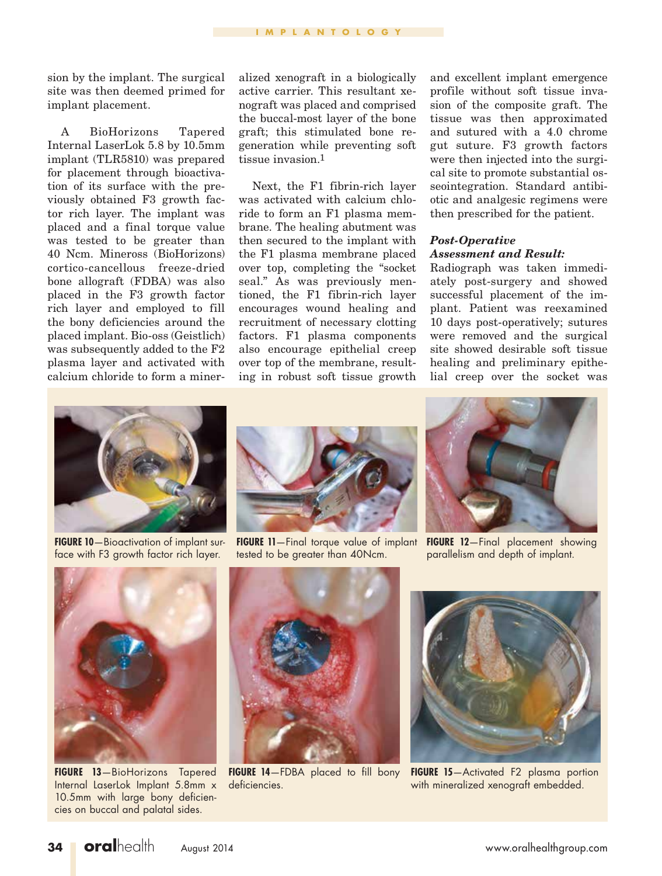sion by the implant. The surgical site was then deemed primed for implant placement.

A BioHorizons Tapered Internal LaserLok 5.8 by 10.5mm implant (TLR5810) was prepared for placement through bioactivation of its surface with the previously obtained F3 growth factor rich layer. The implant was placed and a final torque value was tested to be greater than 40 Ncm. Mineross (BioHorizons) cortico-cancellous freeze-dried bone allograft (FDBA) was also placed in the F3 growth factor rich layer and employed to fill the bony deficiencies around the placed implant. Bio-oss (Geistlich) was subsequently added to the F2 plasma layer and activated with calcium chloride to form a mineralized xenograft in a biologically active carrier. This resultant xenograft was placed and comprised the buccal-most layer of the bone graft; this stimulated bone regeneration while preventing soft tissue invasion.1

Next, the F1 fibrin-rich layer was activated with calcium chloride to form an F1 plasma membrane. The healing abutment was then secured to the implant with the F1 plasma membrane placed over top, completing the "socket seal." As was previously mentioned, the F1 fibrin-rich layer encourages wound healing and recruitment of necessary clotting factors. F1 plasma components also encourage epithelial creep over top of the membrane, resulting in robust soft tissue growth

and excellent implant emergence profile without soft tissue invasion of the composite graft. The tissue was then approximated and sutured with a 4.0 chrome gut suture. F3 growth factors were then injected into the surgical site to promote substantial osseointegration. Standard antibiotic and analgesic regimens were then prescribed for the patient.

# *Post-Operative Assessment and Result:*

Radiograph was taken immediately post-surgery and showed successful placement of the implant. Patient was reexamined 10 days post-operatively; sutures were removed and the surgical site showed desirable soft tissue healing and preliminary epithelial creep over the socket was



**FIGURE 10**—Bioactivation of implant surface with F3 growth factor rich layer.



**FIGURE 11**—Final torque value of implant FIGURE 12—Final placement showing tested to be greater than 40Ncm.



parallelism and depth of implant.



**Figure 13**—BioHorizons Tapered Internal LaserLok Implant 5.8mm x 10.5mm with large bony deficiencies on buccal and palatal sides.



deficiencies.



**FIGURE 14**—FDBA placed to fill bony **FIGURE 15**—Activated F2 plasma portion with mineralized xenograft embedded.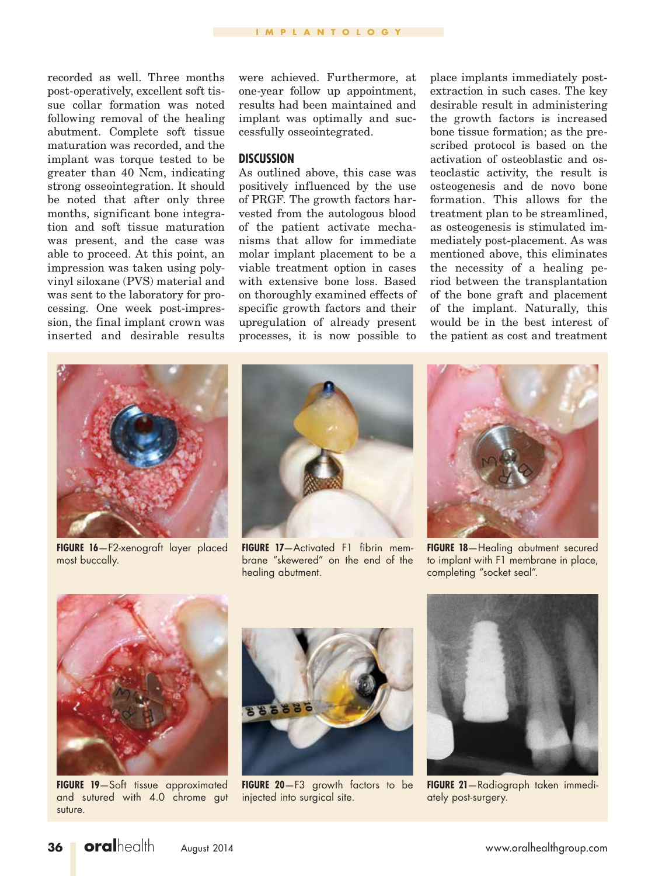recorded as well. Three months post-operatively, excellent soft tissue collar formation was noted following removal of the healing abutment. Complete soft tissue maturation was recorded, and the implant was torque tested to be greater than 40 Ncm, indicating strong osseointegration. It should be noted that after only three months, significant bone integration and soft tissue maturation was present, and the case was able to proceed. At this point, an impression was taken using polyvinyl siloxane (PVS) material and was sent to the laboratory for processing. One week post-impression, the final implant crown was inserted and desirable results

were achieved. Furthermore, at one-year follow up appointment, results had been maintained and implant was optimally and successfully osseointegrated.

## **DISCUSSION**

As outlined above, this case was positively influenced by the use of PRGF. The growth factors harvested from the autologous blood of the patient activate mechanisms that allow for immediate molar implant placement to be a viable treatment option in cases with extensive bone loss. Based on thoroughly examined effects of specific growth factors and their upregulation of already present processes, it is now possible to

place implants immediately postextraction in such cases. The key desirable result in administering the growth factors is increased bone tissue formation; as the prescribed protocol is based on the activation of osteoblastic and osteoclastic activity, the result is osteogenesis and de novo bone formation. This allows for the treatment plan to be streamlined, as osteogenesis is stimulated immediately post-placement. As was mentioned above, this eliminates the necessity of a healing period between the transplantation of the bone graft and placement of the implant. Naturally, this would be in the best interest of the patient as cost and treatment



**Figure 16**—F2-xenograft layer placed most buccally.



**Figure 17**—Activated F1 fibrin membrane "skewered" on the end of the healing abutment.



**Figure 18**—Healing abutment secured to implant with F1 membrane in place, completing "socket seal".



**Figure 19**—Soft tissue approximated and sutured with 4.0 chrome gut suture.



**Figure 20**—F3 growth factors to be injected into surgical site.



**Figure 21**—Radiograph taken immediately post-surgery.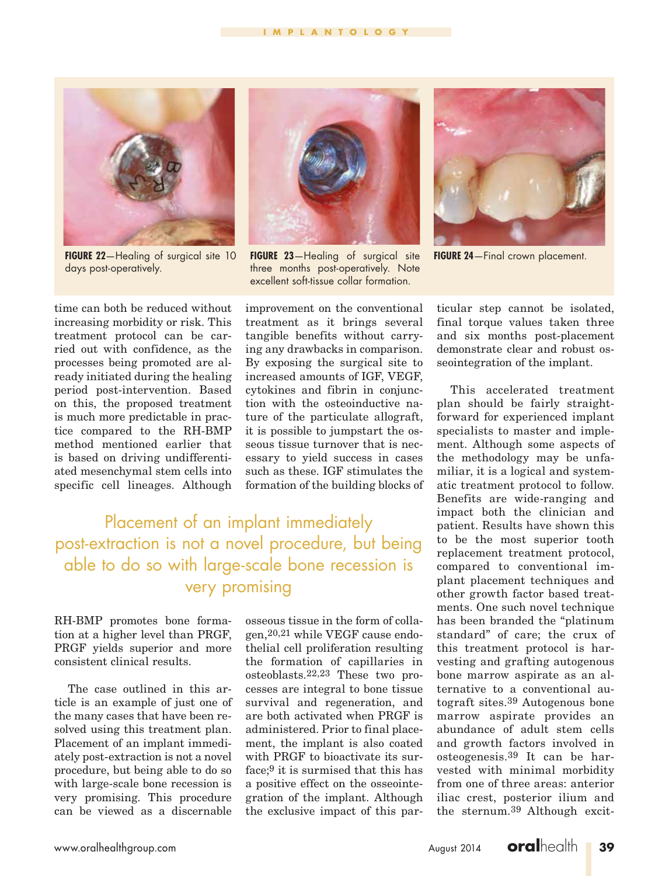

**FIGURE 22**-Healing of surgical site 10 days post-operatively.



**Figure 23**—Healing of surgical site three months post-operatively. Note excellent soft-tissue collar formation.



**FIGURE 24** - Final crown placement.

time can both be reduced without increasing morbidity or risk. This treatment protocol can be carried out with confidence, as the processes being promoted are already initiated during the healing period post-intervention. Based on this, the proposed treatment is much more predictable in practice compared to the RH-BMP method mentioned earlier that is based on driving undifferentiated mesenchymal stem cells into specific cell lineages. Although

improvement on the conventional treatment as it brings several tangible benefits without carrying any drawbacks in comparison. By exposing the surgical site to increased amounts of IGF, VEGF, cytokines and fibrin in conjunction with the osteoinductive nature of the particulate allograft, it is possible to jumpstart the osseous tissue turnover that is necessary to yield success in cases such as these. IGF stimulates the formation of the building blocks of

Placement of an implant immediately post-extraction is not a novel procedure, but being able to do so with large-scale bone recession is very promising

RH-BMP promotes bone formation at a higher level than PRGF, PRGF yields superior and more consistent clinical results.

The case outlined in this article is an example of just one of the many cases that have been resolved using this treatment plan. Placement of an implant immediately post-extraction is not a novel procedure, but being able to do so with large-scale bone recession is very promising. This procedure can be viewed as a discernable

osseous tissue in the form of collagen,20,21 while VEGF cause endothelial cell proliferation resulting the formation of capillaries in osteoblasts.22,23 These two processes are integral to bone tissue survival and regeneration, and are both activated when PRGF is administered. Prior to final placement, the implant is also coated with PRGF to bioactivate its surface;9 it is surmised that this has a positive effect on the osseointegration of the implant. Although the exclusive impact of this par-

ticular step cannot be isolated, final torque values taken three and six months post-placement demonstrate clear and robust osseointegration of the implant.

This accelerated treatment plan should be fairly straightforward for experienced implant specialists to master and implement. Although some aspects of the methodology may be unfamiliar, it is a logical and systematic treatment protocol to follow. Benefits are wide-ranging and impact both the clinician and patient. Results have shown this to be the most superior tooth replacement treatment protocol, compared to conventional implant placement techniques and other growth factor based treatments. One such novel technique has been branded the "platinum standard" of care; the crux of this treatment protocol is harvesting and grafting autogenous bone marrow aspirate as an alternative to a conventional autograft sites.39 Autogenous bone marrow aspirate provides an abundance of adult stem cells and growth factors involved in osteogenesis.39 It can be harvested with minimal morbidity from one of three areas: anterior iliac crest, posterior ilium and the sternum.39 Although excit-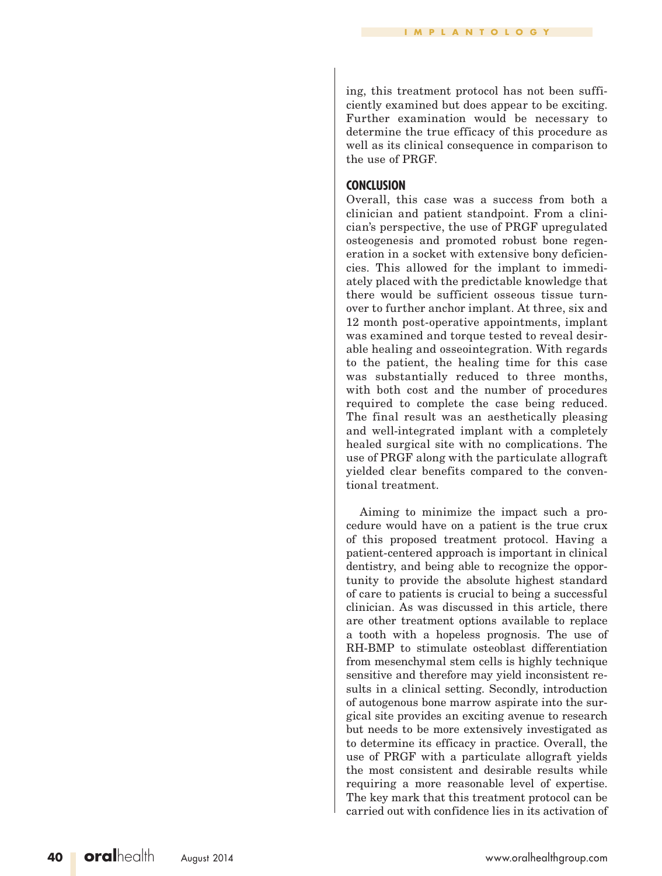ing, this treatment protocol has not been sufficiently examined but does appear to be exciting. Further examination would be necessary to determine the true efficacy of this procedure as well as its clinical consequence in comparison to the use of PRGF.

#### **CONCLUSION**

Overall, this case was a success from both a clinician and patient standpoint. From a clinician's perspective, the use of PRGF upregulated osteogenesis and promoted robust bone regeneration in a socket with extensive bony deficiencies. This allowed for the implant to immediately placed with the predictable knowledge that there would be sufficient osseous tissue turnover to further anchor implant. At three, six and 12 month post-operative appointments, implant was examined and torque tested to reveal desirable healing and osseointegration. With regards to the patient, the healing time for this case was substantially reduced to three months, with both cost and the number of procedures required to complete the case being reduced. The final result was an aesthetically pleasing and well-integrated implant with a completely healed surgical site with no complications. The use of PRGF along with the particulate allograft yielded clear benefits compared to the conventional treatment.

Aiming to minimize the impact such a procedure would have on a patient is the true crux of this proposed treatment protocol. Having a patient-centered approach is important in clinical dentistry, and being able to recognize the opportunity to provide the absolute highest standard of care to patients is crucial to being a successful clinician. As was discussed in this article, there are other treatment options available to replace a tooth with a hopeless prognosis. The use of RH-BMP to stimulate osteoblast differentiation from mesenchymal stem cells is highly technique sensitive and therefore may yield inconsistent results in a clinical setting. Secondly, introduction of autogenous bone marrow aspirate into the surgical site provides an exciting avenue to research but needs to be more extensively investigated as to determine its efficacy in practice. Overall, the use of PRGF with a particulate allograft yields the most consistent and desirable results while requiring a more reasonable level of expertise. The key mark that this treatment protocol can be carried out with confidence lies in its activation of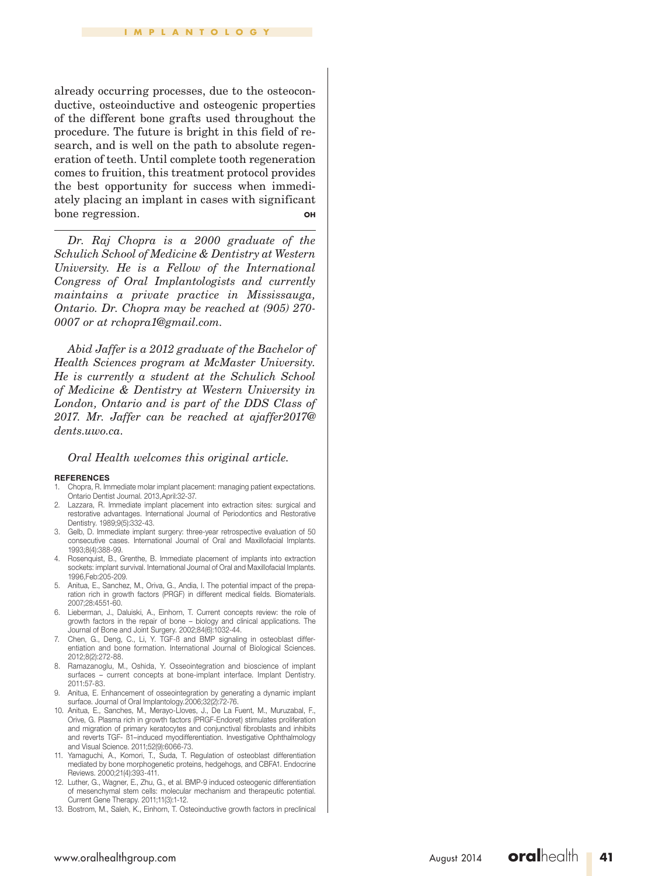#### **IMPLANTOLOGY**

already occurring processes, due to the osteoconductive, osteoinductive and osteogenic properties of the different bone grafts used throughout the procedure. The future is bright in this field of research, and is well on the path to absolute regeneration of teeth. Until complete tooth regeneration comes to fruition, this treatment protocol provides the best opportunity for success when immediately placing an implant in cases with significant bone regression. **OH**

*Dr. Raj Chopra is a 2000 graduate of the Schulich School of Medicine & Dentistry at Western University. He is a Fellow of the International Congress of Oral Implantologists and currently maintains a private practice in Mississauga, Ontario. Dr. Chopra may be reached at (905) 270- 0007 or at rchopra1@gmail.com.*

*Abid Jaffer is a 2012 graduate of the Bachelor of Health Sciences program at McMaster University. He is currently a student at the Schulich School of Medicine & Dentistry at Western University in London, Ontario and is part of the DDS Class of 2017. Mr. Jaffer can be reached at ajaffer2017@ dents.uwo.ca.*

#### *Oral Health welcomes this original article.*

#### **REFERENCES**

- 1. Chopra, R. Immediate molar implant placement: managing patient expectations. Ontario Dentist Journal. 2013,April:32-37.
- 2. Lazzara, R. Immediate implant placement into extraction sites: surgical and restorative advantages. International Journal of Periodontics and Restorative Dentistry. 1989;9(5):332-43.
- 3. Gelb, D. Immediate implant surgery: three-year retrospective evaluation of 50 consecutive cases. International Journal of Oral and Maxillofacial Implants. 1993;8(4):388-99.
- 4. Rosenquist, B., Grenthe, B. Immediate placement of implants into extraction sockets: implant survival. International Journal of Oral and Maxillofacial Implants. 1996,Feb:205-209.
- 5. Anitua, E., Sanchez, M., Oriva, G., Andia, I. The potential impact of the preparation rich in growth factors (PRGF) in different medical fields. Biomaterials. 2007;28:4551-60.
- 6. Lieberman, J., Daluiski, A., Einhorn, T. Current concepts review: the role of growth factors in the repair of bone – biology and clinical applications. The Journal of Bone and Joint Surgery. 2002;84(6):1032-44.
- 7. Chen, G., Deng, C., Li, Y. TGF-ß and BMP signaling in osteoblast differentiation and bone formation. International Journal of Biological Sciences. 2012;8(2):272-88.
- 8. Ramazanoglu, M., Oshida, Y. Osseointegration and bioscience of implant surfaces – current concepts at bone-implant interface. Implant Dentistry. 2011:57-83.
- 9. Anitua, E. Enhancement of osseointegration by generating a dynamic implant surface. Journal of Oral Implantology.2006;32(2):72-76.
- 10. Anitua, E., Sanches, M., Merayo-Lloves, J., De La Fuent, M., Muruzabal, F., Orive, G. Plasma rich in growth factors (PRGF-Endoret) stimulates proliferation and migration of primary keratocytes and conjunctival fibroblasts and inhibits and reverts TGF- ß1–induced myodifferentiation. Investigative Ophthalmology and Visual Science. 2011;52(9):6066-73.
- 11. Yamaguchi, A., Komori, T., Suda, T. Regulation of osteoblast differentiation mediated by bone morphogenetic proteins, hedgehogs, and CBFA1. Endocrine Reviews. 2000;21(4):393-411.
- 12. Luther, G., Wagner, E., Zhu, G., et al. BMP-9 induced osteogenic differentiation of mesenchymal stem cells: molecular mechanism and therapeutic potential. Current Gene Therapy. 2011;11(3):1-12.
- 13. Bostrom, M., Saleh, K., Einhorn, T. Osteoinductive growth factors in preclinical